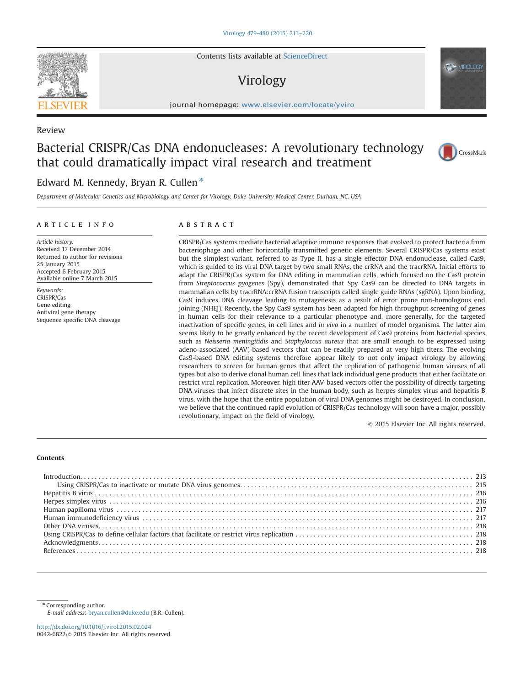Contents lists available at [ScienceDirect](www.sciencedirect.com/science/journal/00426822)

# Virology

journal homepage: <www.elsevier.com/locate/yviro>

# Bacterial CRISPR/Cas DNA endonucleases: A revolutionary technology that could dramatically impact viral research and treatment

# Edward M. Kennedy, Bryan R. Cullen $*$

Department of Molecular Genetics and Microbiology and Center for Virology, Duke University Medical Center, Durham, NC, USA

### article info

Article history: Received 17 December 2014 Returned to author for revisions 25 January 2015 Accepted 6 February 2015 Available online 7 March 2015

Keywords: CRISPR/Cas Gene editing Antiviral gene therapy Sequence specific DNA cleavage

## ABSTRACT

CRISPR/Cas systems mediate bacterial adaptive immune responses that evolved to protect bacteria from bacteriophage and other horizontally transmitted genetic elements. Several CRISPR/Cas systems exist but the simplest variant, referred to as Type II, has a single effector DNA endonuclease, called Cas9, which is guided to its viral DNA target by two small RNAs, the crRNA and the tracrRNA. Initial efforts to adapt the CRISPR/Cas system for DNA editing in mammalian cells, which focused on the Cas9 protein from Streptococcus pyogenes (Spy), demonstrated that Spy Cas9 can be directed to DNA targets in mammalian cells by tracrRNA:crRNA fusion transcripts called single guide RNAs (sgRNA). Upon binding, Cas9 induces DNA cleavage leading to mutagenesis as a result of error prone non-homologous end joining (NHEJ). Recently, the Spy Cas9 system has been adapted for high throughput screening of genes in human cells for their relevance to a particular phenotype and, more generally, for the targeted inactivation of specific genes, in cell lines and in vivo in a number of model organisms. The latter aim seems likely to be greatly enhanced by the recent development of Cas9 proteins from bacterial species such as Neisseria meningitidis and Staphyloccus aureus that are small enough to be expressed using adeno-associated (AAV)-based vectors that can be readily prepared at very high titers. The evolving Cas9-based DNA editing systems therefore appear likely to not only impact virology by allowing researchers to screen for human genes that affect the replication of pathogenic human viruses of all types but also to derive clonal human cell lines that lack individual gene products that either facilitate or restrict viral replication. Moreover, high titer AAV-based vectors offer the possibility of directly targeting DNA viruses that infect discrete sites in the human body, such as herpes simplex virus and hepatitis B virus, with the hope that the entire population of viral DNA genomes might be destroyed. In conclusion, we believe that the continued rapid evolution of CRISPR/Cas technology will soon have a major, possibly revolutionary, impact on the field of virology.

 $© 2015 Elsevier Inc. All rights reserved.$ 

#### Contents

\* Corresponding author. E-mail address: [bryan.cullen@duke.edu](mailto:bryan.cullen@duke.edu) (B.R. Cullen).

<http://dx.doi.org/10.1016/j.virol.2015.02.024> 0042-6822/@ 2015 Elsevier Inc. All rights reserved.



Review



CrossMark

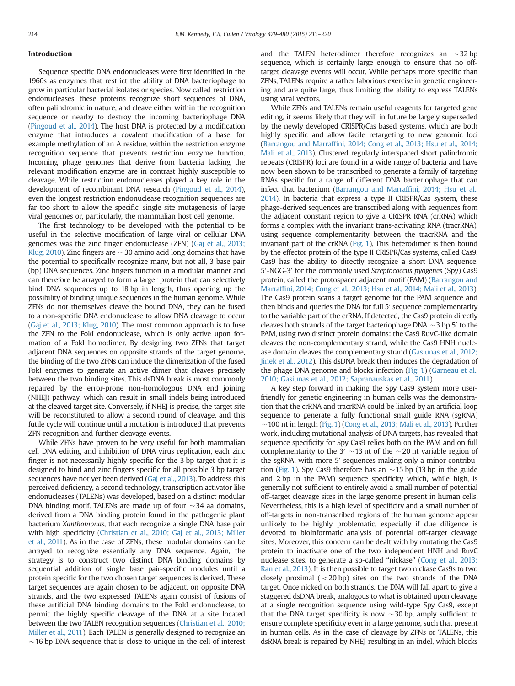#### Introduction

Sequence specific DNA endonucleases were first identified in the 1960s as enzymes that restrict the ability of DNA bacteriophage to grow in particular bacterial isolates or species. Now called restriction endonucleases, these proteins recognize short sequences of DNA, often palindromic in nature, and cleave either within the recognition sequence or nearby to destroy the incoming bacteriophage DNA ([Pingoud et al., 2014](#page-6-0)). The host DNA is protected by a modification enzyme that introduces a covalent modification of a base, for example methylation of an A residue, within the restriction enzyme recognition sequence that prevents restriction enzyme function. Incoming phage genomes that derive from bacteria lacking the relevant modification enzyme are in contrast highly susceptible to cleavage. While restriction endonucleases played a key role in the development of recombinant DNA research [\(Pingoud et al., 2014\)](#page-6-0), even the longest restriction endonuclease recognition sequences are far too short to allow the specific, single site mutagenesis of large viral genomes or, particularly, the mammalian host cell genome.

The first technology to be developed with the potential to be useful in the selective modification of large viral or cellular DNA genomes was the zinc finger endonuclease (ZFN) [\(Gaj et al., 2013;](#page-6-0) [Klug, 2010\)](#page-6-0). Zinc fingers are  $\sim$  30 amino acid long domains that have the potential to specifically recognize many, but not all, 3 base pair (bp) DNA sequences. Zinc fingers function in a modular manner and can therefore be arrayed to form a larger protein that can selectively bind DNA sequences up to 18 bp in length, thus opening up the possibility of binding unique sequences in the human genome. While ZFNs do not themselves cleave the bound DNA, they can be fused to a non-specific DNA endonuclease to allow DNA cleavage to occur ([Gaj et al., 2013; Klug, 2010\)](#page-6-0). The most common approach is to fuse the ZFN to the FokI endonuclease, which is only active upon formation of a FokI homodimer. By designing two ZFNs that target adjacent DNA sequences on opposite strands of the target genome, the binding of the two ZFNs can induce the dimerization of the fused FokI enzymes to generate an active dimer that cleaves precisely between the two binding sites. This dsDNA break is most commonly repaired by the error-prone non-homologous DNA end joining (NHEJ) pathway, which can result in small indels being introduced at the cleaved target site. Conversely, if NHEJ is precise, the target site will be reconstituted to allow a second round of cleavage, and this futile cycle will continue until a mutation is introduced that prevents ZFN recognition and further cleavage events.

While ZFNs have proven to be very useful for both mammalian cell DNA editing and inhibition of DNA virus replication, each zinc finger is not necessarily highly specific for the 3 bp target that it is designed to bind and zinc fingers specific for all possible 3 bp target sequences have not yet been derived ([Gaj et al., 2013](#page-6-0)). To address this perceived deficiency, a second technology, transcription activator like endonucleases (TALENs) was developed, based on a distinct modular DNA binding motif. TALENs are made up of four  $\sim$ 34 aa domains, derived from a DNA binding protein found in the pathogenic plant bacterium Xanthomonas, that each recognize a single DNA base pair with high specificity ([Christian et al., 2010; Gaj et al., 2013; Miller](#page-6-0) [et al., 2011\)](#page-6-0). As in the case of ZFNs, these modular domains can be arrayed to recognize essentially any DNA sequence. Again, the strategy is to construct two distinct DNA binding domains by sequential addition of single base pair-specific modules until a protein specific for the two chosen target sequences is derived. These target sequences are again chosen to be adjacent, on opposite DNA strands, and the two expressed TALENs again consist of fusions of these artificial DNA binding domains to the FokI endonuclease, to permit the highly specific cleavage of the DNA at a site located between the two TALEN recognition sequences ([Christian et al., 2010;](#page-6-0) [Miller et al., 2011\)](#page-6-0). Each TALEN is generally designed to recognize an  $\sim$  16 bp DNA sequence that is close to unique in the cell of interest and the TALEN heterodimer therefore recognizes an  $\sim$ 32 bp sequence, which is certainly large enough to ensure that no offtarget cleavage events will occur. While perhaps more specific than ZFNs, TALENs require a rather laborious exercise in genetic engineering and are quite large, thus limiting the ability to express TALENs using viral vectors.

While ZFNs and TALENs remain useful reagents for targeted gene editing, it seems likely that they will in future be largely superseded by the newly developed CRISPR/Cas based systems, which are both highly specific and allow facile retargeting to new genomic loci (Barrangou and Marraffi[ni, 2014; Cong et al., 2013; Hsu et al., 2014;](#page-6-0) [Mali et al., 2013](#page-6-0)). Clustered regularly interspaced short palindromic repeats (CRISPR) loci are found in a wide range of bacteria and have now been shown to be transcribed to generate a family of targeting RNAs specific for a range of different DNA bacteriophage that can infect that bacterium [\(Barrangou and Marraf](#page-6-0)fini, 2014; Hsu et al., [2014](#page-6-0)). In bacteria that express a type II CRISPR/Cas system, these phage-derived sequences are transcribed along with sequences from the adjacent constant region to give a CRISPR RNA (crRNA) which forms a complex with the invariant trans-activating RNA (tracrRNA), using sequence complementarity between the tracrRNA and the invariant part of the crRNA [\(Fig. 1](#page-2-0)). This heterodimer is then bound by the effector protein of the type II CRISPR/Cas systems, called Cas9. Cas9 has the ability to directly recognize a short DNA sequence, 5'-NGG-3' for the commonly used Streptococcus pyogenes (Spy) Cas9 protein, called the protospacer adjacent motif (PAM) [\(Barrangou and](#page-5-0) Marraffi[ni, 2014; Cong et al., 2013; Hsu et al., 2014; Mali et al., 2013\)](#page-6-0). The Cas9 protein scans a target genome for the PAM sequence and then binds and queries the DNA for full 5' sequence complementarity to the variable part of the crRNA. If detected, the Cas9 protein directly cleaves both strands of the target bacteriophage DNA  $\sim$  3 bp 5<sup> $\prime$ </sup> to the PAM, using two distinct protein domains: the Cas9 RuvC-like domain cleaves the non-complementary strand, while the Cas9 HNH nuclease domain cleaves the complementary strand [\(Gasiunas et al., 2012;](#page-6-0) [Jinek et al., 2012](#page-6-0)). This dsDNA break then induces the degradation of the phage DNA genome and blocks infection [\(Fig. 1](#page-2-0)) ([Garneau et al.,](#page-6-0) [2010; Gasiunas et al., 2012; Sapranauskas et al., 2011](#page-6-0)).

A key step forward in making the Spy Cas9 system more userfriendly for genetic engineering in human cells was the demonstration that the crRNA and tracrRNA could be linked by an artificial loop sequence to generate a fully functional small guide RNA (sgRNA)  $\sim$  100 nt in length ([Fig. 1\)](#page-2-0) ([Cong et al., 2013; Mali et al., 2013](#page-6-0)). Further work, including mutational analysis of DNA targets, has revealed that sequence specificity for Spy Cas9 relies both on the PAM and on full complementarity to the  $3' \sim 13$  nt of the  $\sim 20$  nt variable region of the sgRNA, with more 5' sequences making only a minor contribu-tion [\(Fig. 1\)](#page-2-0). Spy Cas9 therefore has an  $\sim$  15 bp (13 bp in the guide and 2 bp in the PAM) sequence specificity which, while high, is generally not sufficient to entirely avoid a small number of potential off-target cleavage sites in the large genome present in human cells. Nevertheless, this is a high level of specificity and a small number of off-targets in non-transcribed regions of the human genome appear unlikely to be highly problematic, especially if due diligence is devoted to bioinformatic analysis of potential off-target cleavage sites. Moreover, this concern can be dealt with by mutating the Cas9 protein to inactivate one of the two independent HNH and RuvC nuclease sites, to generate a so-called "nickase" ([Cong et al., 2013;](#page-6-0) [Ran et al., 2013](#page-6-0)). It is then possible to target two nickase Cas9s to two closely proximal  $( $20 \text{ bp}$ )$  sites on the two strands of the DNA target. Once nicked on both strands, the DNA will fall apart to give a staggered dsDNA break, analogous to what is obtained upon cleavage at a single recognition sequence using wild-type Spy Cas9, except that the DNA target specificity is now  $\sim$  30 bp, amply sufficient to ensure complete specificity even in a large genome, such that present in human cells. As in the case of cleavage by ZFNs or TALENs, this dsRNA break is repaired by NHEJ resulting in an indel, which blocks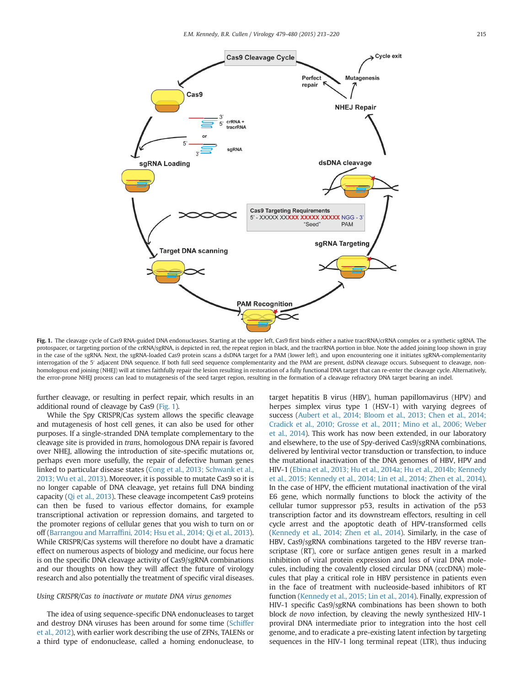<span id="page-2-0"></span>

Fig. 1. The cleavage cycle of Cas9 RNA-guided DNA endonucleases. Starting at the upper left, Cas9 first binds either a native tracrRNA/crRNA complex or a synthetic sgRNA. The protospacer, or targeting portion of the crRNA/sgRNA, is depicted in red, the repeat region in black, and the tracrRNA portion in blue. Note the added joining loop shown in gray in the case of the sgRNA. Next, the sgRNA-loaded Cas9 protein scans a dsDNA target for a PAM (lower left), and upon encountering one it initiates sgRNA-complementarity interrogation of the 5' adjacent DNA sequence. If both full seed sequence complementarity and the PAM are present, dsDNA cleavage occurs. Subsequent to cleavage, nonhomologous end joining (NHEJ) will at times faithfully repair the lesion resulting in restoration of a fully functional DNA target that can re-enter the cleavage cycle. Alternatively, the error-prone NHEJ process can lead to mutagenesis of the seed target region, resulting in the formation of a cleavage refractory DNA target bearing an indel.

further cleavage, or resulting in perfect repair, which results in an additional round of cleavage by Cas9 (Fig. 1).

While the Spy CRISPR/Cas system allows the specific cleavage and mutagenesis of host cell genes, it can also be used for other purposes. If a single-stranded DNA template complementary to the cleavage site is provided in trans, homologous DNA repair is favored over NHEJ, allowing the introduction of site-specific mutations or, perhaps even more usefully, the repair of defective human genes linked to particular disease states [\(Cong et al., 2013; Schwank et al.,](#page-6-0) [2013; Wu et al., 2013\)](#page-6-0). Moreover, it is possible to mutate Cas9 so it is no longer capable of DNA cleavage, yet retains full DNA binding capacity [\(Qi et al., 2013\)](#page-6-0). These cleavage incompetent Cas9 proteins can then be fused to various effector domains, for example transcriptional activation or repression domains, and targeted to the promoter regions of cellular genes that you wish to turn on or off (Barrangou and Marraffi[ni, 2014; Hsu et al., 2014; Qi et al., 2013\)](#page-6-0). While CRISPR/Cas systems will therefore no doubt have a dramatic effect on numerous aspects of biology and medicine, our focus here is on the specific DNA cleavage activity of Cas9/sgRNA combinations and our thoughts on how they will affect the future of virology research and also potentially the treatment of specific viral diseases.

#### Using CRISPR/Cas to inactivate or mutate DNA virus genomes

The idea of using sequence-specific DNA endonucleases to target and destroy DNA viruses has been around for some time [\(Schiffer](#page-6-0) [et al., 2012](#page-6-0)), with earlier work describing the use of ZFNs, TALENs or a third type of endonuclease, called a homing endonuclease, to target hepatitis B virus (HBV), human papillomavirus (HPV) and herpes simplex virus type 1 (HSV-1) with varying degrees of success [\(Aubert et al., 2014; Bloom et al., 2013; Chen et al., 2014;](#page-6-0) [Cradick et al., 2010; Grosse et al., 2011; Mino et al., 2006; Weber](#page-6-0) [et al., 2014](#page-6-0)). This work has now been extended, in our laboratory and elsewhere, to the use of Spy-derived Cas9/sgRNA combinations, delivered by lentiviral vector transduction or transfection, to induce the mutational inactivation of the DNA genomes of HBV, HPV and HIV-1 [\(Ebina et al., 2013; Hu et al., 2014a; Hu et al., 2014b; Kennedy](#page-6-0) [et al., 2015; Kennedy et al., 2014; Lin et al., 2014; Zhen et al., 2014\)](#page-7-0). In the case of HPV, the efficient mutational inactivation of the viral E6 gene, which normally functions to block the activity of the cellular tumor suppressor p53, results in activation of the p53 transcription factor and its downstream effectors, resulting in cell cycle arrest and the apoptotic death of HPV-transformed cells [\(Kennedy et al., 2014; Zhen et al., 2014\)](#page-7-0). Similarly, in the case of HBV, Cas9/sgRNA combinations targeted to the HBV reverse transcriptase (RT), core or surface antigen genes result in a marked inhibition of viral protein expression and loss of viral DNA molecules, including the covalently closed circular DNA (cccDNA) molecules that play a critical role in HBV persistence in patients even in the face of treatment with nucleoside-based inhibitors of RT function [\(Kennedy et al., 2015; Lin et al., 2014\)](#page-6-0). Finally, expression of HIV-1 specific Cas9/sgRNA combinations has been shown to both block de novo infection, by cleaving the newly synthesized HIV-1 proviral DNA intermediate prior to integration into the host cell genome, and to eradicate a pre-existing latent infection by targeting sequences in the HIV-1 long terminal repeat (LTR), thus inducing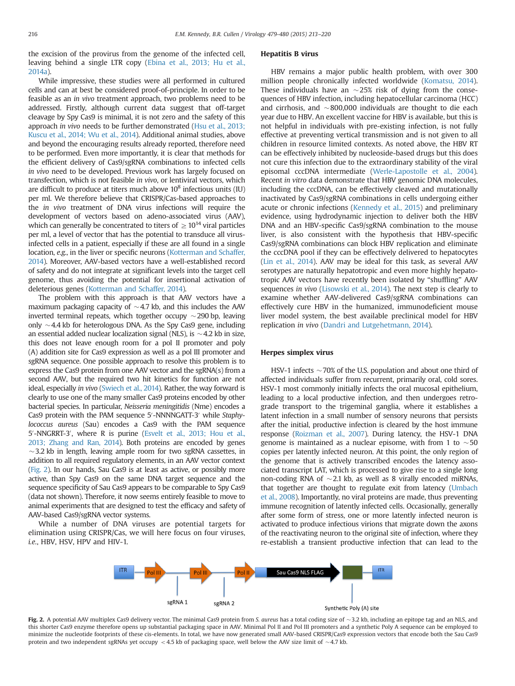the excision of the provirus from the genome of the infected cell, leaving behind a single LTR copy ([Ebina et al., 2013; Hu et al.,](#page-6-0) [2014a\)](#page-6-0).

While impressive, these studies were all performed in cultured cells and can at best be considered proof-of-principle. In order to be feasible as an in vivo treatment approach, two problems need to be addressed. Firstly, although current data suggest that off-target cleavage by Spy Cas9 is minimal, it is not zero and the safety of this approach in vivo needs to be further demonstrated ([Hsu et al., 2013;](#page-6-0) [Kuscu et al., 2014; Wu et al., 2014](#page-6-0)). Additional animal studies, above and beyond the encouraging results already reported, therefore need to be performed. Even more importantly, it is clear that methods for the efficient delivery of Cas9/sgRNA combinations to infected cells in vivo need to be developed. Previous work has largely focused on transfection, which is not feasible in vivo, or lentiviral vectors, which are difficult to produce at titers much above  $10^8$  infectious units (IU) per ml. We therefore believe that CRISPR/Cas-based approaches to the in vivo treatment of DNA virus infections will require the development of vectors based on adeno-associated virus (AAV), which can generally be concentrated to titers of  $\geq 10^{14}$  viral particles per ml, a level of vector that has the potential to transduce all virusinfected cells in a patient, especially if these are all found in a single location, e.g., in the liver or specific neurons [\(Kotterman and Schaffer,](#page-6-0) [2014](#page-6-0)). Moreover, AAV-based vectors have a well-established record of safety and do not integrate at significant levels into the target cell genome, thus avoiding the potential for insertional activation of deleterious genes [\(Kotterman and Schaffer, 2014](#page-6-0)).

The problem with this approach is that AAV vectors have a maximum packaging capacity of  $\sim$  4.7 kb, and this includes the AAV inverted terminal repeats, which together occupy  $\sim$  290 bp, leaving only  $\sim$  4.4 kb for heterologous DNA. As the Spy Cas9 gene, including an essential added nuclear localization signal (NLS), is  $\sim$  4.2 kb in size, this does not leave enough room for a pol II promoter and poly (A) addition site for Cas9 expression as well as a pol III promoter and sgRNA sequence. One possible approach to resolve this problem is to express the Cas9 protein from one AAV vector and the sgRNA(s) from a second AAV, but the required two hit kinetics for function are not ideal, especially in vivo [\(Swiech et al., 2014](#page-6-0)). Rather, the way forward is clearly to use one of the many smaller Cas9 proteins encoded by other bacterial species. In particular, Neisseria meningitidis (Nme) encodes a Cas9 protein with the PAM sequence 5'-NNNNGATT-3' while Staphylococcus aureus (Sau) encodes a Cas9 with the PAM sequence 5'-NNGRRT-3', where R is purine [\(Esvelt et al., 2013; Hou et al.,](#page-6-0) [2013; Zhang and Ran, 2014\)](#page-7-0). Both proteins are encoded by genes  $\sim$  3.2 kb in length, leaving ample room for two sgRNA cassettes, in addition to all required regulatory elements, in an AAV vector context (Fig. 2). In our hands, Sau Cas9 is at least as active, or possibly more active, than Spy Cas9 on the same DNA target sequence and the sequence specificity of Sau Cas9 appears to be comparable to Spy Cas9 (data not shown). Therefore, it now seems entirely feasible to move to animal experiments that are designed to test the efficacy and safety of AAV-based Cas9/sgRNA vector systems.

While a number of DNA viruses are potential targets for elimination using CRISPR/Cas, we will here focus on four viruses, i.e., HBV, HSV, HPV and HIV-1.

#### Hepatitis B virus

HBV remains a major public health problem, with over 300 million people chronically infected worldwide ([Komatsu, 2014\)](#page-6-0). These individuals have an  $\sim$ 25% risk of dying from the consequences of HBV infection, including hepatocellular carcinoma (HCC) and cirrhosis, and  $\sim$  800,000 individuals are thought to die each year due to HBV. An excellent vaccine for HBV is available, but this is not helpful in individuals with pre-existing infection, is not fully effective at preventing vertical transmission and is not given to all children in resource limited contexts. As noted above, the HBV RT can be effectively inhibited by nucleoside-based drugs but this does not cure this infection due to the extraordinary stability of the viral episomal cccDNA intermediate [\(Werle-Lapostolle et al., 2004\)](#page-6-0). Recent in vitro data demonstrate that HBV genomic DNA molecules, including the cccDNA, can be effectively cleaved and mutationally inactivated by Cas9/sgRNA combinations in cells undergoing either acute or chronic infections ([Kennedy et al., 2015\)](#page-6-0) and preliminary evidence, using hydrodynamic injection to deliver both the HBV DNA and an HBV-specific Cas9/sgRNA combination to the mouse liver, is also consistent with the hypothesis that HBV-specific Cas9/sgRNA combinations can block HBV replication and eliminate the cccDNA pool if they can be effectively delivered to hepatocytes ([Lin et al., 2014](#page-6-0)). AAV may be ideal for this task, as several AAV serotypes are naturally hepatotropic and even more highly hepatotropic AAV vectors have recently been isolated by "shuffling" AAV sequences in vivo ([Lisowski et al., 2014\)](#page-6-0). The next step is clearly to examine whether AAV-delivered Cas9/sgRNA combinations can effectively cure HBV in the humanized, immunodeficient mouse liver model system, the best available preclinical model for HBV replication in vivo [\(Dandri and Lutgehetmann, 2014](#page-6-0)).

#### Herpes simplex virus

HSV-1 infects  $\sim$  70% of the U.S. population and about one third of affected individuals suffer from recurrent, primarily oral, cold sores. HSV-1 most commonly initially infects the oral mucosal epithelium, leading to a local productive infection, and then undergoes retrograde transport to the trigeminal ganglia, where it establishes a latent infection in a small number of sensory neurons that persists after the initial, productive infection is cleared by the host immune response [\(Roizman et al., 2007\)](#page-6-0). During latency, the HSV-1 DNA genome is maintained as a nuclear episome, with from 1 to  $\sim$  50 copies per latently infected neuron. At this point, the only region of the genome that is actively transcribed encodes the latency associated transcript LAT, which is processed to give rise to a single long non-coding RNA of  $\sim$  2.1 kb, as well as 8 virally encoded miRNAs, that together are thought to regulate exit from latency [\(Umbach](#page-6-0) [et al., 2008\)](#page-6-0). Importantly, no viral proteins are made, thus preventing immune recognition of latently infected cells. Occasionally, generally after some form of stress, one or more latently infected neuron is activated to produce infectious virions that migrate down the axons of the reactivating neuron to the original site of infection, where they re-establish a transient productive infection that can lead to the



Fig. 2. A potential AAV multiplex Cas9 delivery vector. The minimal Cas9 protein from S. aureus has a total coding size of  $\sim$ 3.2 kb, including an epitope tag and an NLS, and this shorter Cas9 enzyme therefore opens up substantial packaging space in AAV. Minimal Pol II and Pol III promoters and a synthetic Poly A sequence can be employed to minimize the nucleotide footprints of these cis-elements. In total, we have now generated small AAV-based CRISPR/Cas9 expression vectors that encode both the Sau Cas9 protein and two independent sgRNAs yet occupy < 4.5 kb of packaging space, well below the AAV size limit of  $\sim$ 4.7 kb.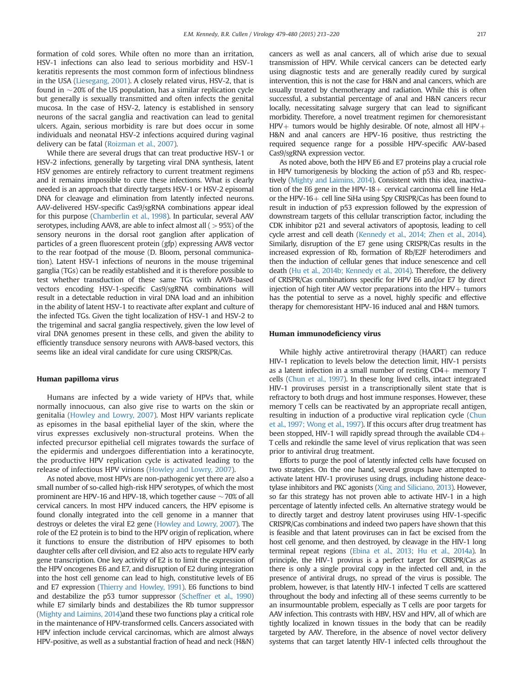formation of cold sores. While often no more than an irritation, HSV-1 infections can also lead to serious morbidity and HSV-1 keratitis represents the most common form of infectious blindness in the USA [\(Liesegang, 2001](#page-6-0)). A closely related virus, HSV-2, that is found in  $\sim$  20% of the US population, has a similar replication cycle but generally is sexually transmitted and often infects the genital mucosa. In the case of HSV-2, latency is established in sensory neurons of the sacral ganglia and reactivation can lead to genital ulcers. Again, serious morbidity is rare but does occur in some individuals and neonatal HSV-2 infections acquired during vaginal delivery can be fatal [\(Roizman et al., 2007](#page-6-0)).

While there are several drugs that can treat productive HSV-1 or HSV-2 infections, generally by targeting viral DNA synthesis, latent HSV genomes are entirely refractory to current treatment regimens and it remains impossible to cure these infections. What is clearly needed is an approach that directly targets HSV-1 or HSV-2 episomal DNA for cleavage and elimination from latently infected neurons. AAV-delivered HSV-specific Cas9/sgRNA combinations appear ideal for this purpose [\(Chamberlin et al., 1998\)](#page-5-0). In particular, several AAV serotypes, including AAV8, are able to infect almost all  $(>95%)$  of the sensory neurons in the dorsal root ganglion after application of particles of a green fluorescent protein (gfp) expressing AAV8 vector to the rear footpad of the mouse (D. Bloom, personal communication). Latent HSV-1 infections of neurons in the mouse trigeminal ganglia (TGs) can be readily established and it is therefore possible to test whether transduction of these same TGs with AAV8-based vectors encoding HSV-1-specific Cas9/sgRNA combinations will result in a detectable reduction in viral DNA load and an inhibition in the ability of latent HSV-1 to reactivate after explant and culture of the infected TGs. Given the tight localization of HSV-1 and HSV-2 to the trigeminal and sacral ganglia respectively, given the low level of viral DNA genomes present in these cells, and given the ability to efficiently transduce sensory neurons with AAV8-based vectors, this seems like an ideal viral candidate for cure using CRISPR/Cas.

#### Human papilloma virus

Humans are infected by a wide variety of HPVs that, while normally innocuous, can also give rise to warts on the skin or genitalia [\(Howley and Lowry, 2007\)](#page-6-0). Most HPV variants replicate as episomes in the basal epithelial layer of the skin, where the virus expresses exclusively non-structural proteins. When the infected precursor epithelial cell migrates towards the surface of the epidermis and undergoes differentiation into a keratinocyte, the productive HPV replication cycle is activated leading to the release of infectious HPV virions ([Howley and Lowry, 2007\)](#page-6-0).

As noted above, most HPVs are non-pathogenic yet there are also a small number of so-called high-risk HPV serotypes, of which the most prominent are HPV-16 and HPV-18, which together cause  $\sim$  70% of all cervical cancers. In most HPV induced cancers, the HPV episome is found clonally integrated into the cell genome in a manner that destroys or deletes the viral E2 gene [\(Howley and Lowry, 2007\)](#page-6-0). The role of the E2 protein is to bind to the HPV origin of replication, where it functions to ensure the distribution of HPV episomes to both daughter cells after cell division, and E2 also acts to regulate HPV early gene transcription. One key activity of E2 is to limit the expression of the HPV oncogenes E6 and E7, and disruption of E2 during integration into the host cell genome can lead to high, constitutive levels of E6 and E7 expression ([Thierry and Howley, 1991](#page-6-0)). E6 functions to bind and destabilize the p53 tumor suppressor [\(Scheffner et al., 1990\)](#page-6-0) while E7 similarly binds and destabilizes the Rb tumor suppressor [\(Mighty and Laimins, 2014](#page-6-0))and these two functions play a critical role in the maintenance of HPV-transformed cells. Cancers associated with HPV infection include cervical carcinomas, which are almost always HPV-positive, as well as a substantial fraction of head and neck (H&N) cancers as well as anal cancers, all of which arise due to sexual transmission of HPV. While cervical cancers can be detected early using diagnostic tests and are generally readily cured by surgical intervention, this is not the case for H&N and anal cancers, which are usually treated by chemotherapy and radiation. While this is often successful, a substantial percentage of anal and H&N cancers recur locally, necessitating salvage surgery that can lead to significant morbidity. Therefore, a novel treatment regimen for chemoresistant HPV + tumors would be highly desirable. Of note, almost all HPV + H&N and anal cancers are HPV-16 positive, thus restricting the required sequence range for a possible HPV-specific AAV-based Cas9/sgRNA expression vector.

As noted above, both the HPV E6 and E7 proteins play a crucial role in HPV tumorigenesis by blocking the action of p53 and Rb, respectively [\(Mighty and Laimins, 2014](#page-6-0)). Consistent with this idea, inactivation of the E6 gene in the HPV-18 $+$  cervical carcinoma cell line HeLa or the HPV-16 $+$  cell line SiHa using Spy CRISPR/Cas has been found to result in induction of p53 expression followed by the expression of downstream targets of this cellular transcription factor, including the CDK inhibitor p21 and several activators of apoptosis, leading to cell cycle arrest and cell death [\(Kennedy et al., 2014; Zhen et al., 2014\)](#page-7-0). Similarly, disruption of the E7 gene using CRISPR/Cas results in the increased expression of Rb, formation of Rb/E2F heterodimers and then the induction of cellular genes that induce senescence and cell death [\(Hu et al., 2014b; Kennedy et al., 2014](#page-6-0)). Therefore, the delivery of CRISPR/Cas combinations specific for HPV E6 and/or E7 by direct injection of high titer AAV vector preparations into the  $HPV +$  tumors has the potential to serve as a novel, highly specific and effective therapy for chemoresistant HPV-16 induced anal and H&N tumors.

#### Human immunodeficiency virus

While highly active antiretroviral therapy (HAART) can reduce HIV-1 replication to levels below the detection limit, HIV-1 persists as a latent infection in a small number of resting  $CD4+$  memory T cells ([Chun et al., 1997](#page-6-0)). In these long lived cells, intact integrated HIV-1 proviruses persist in a transcriptionally silent state that is refractory to both drugs and host immune responses. However, these memory T cells can be reactivated by an appropriate recall antigen, resulting in induction of a productive viral replication cycle [\(Chun](#page-6-0) [et al., 1997; Wong et al., 1997](#page-6-0)). If this occurs after drug treatment has been stopped, HIV-1 will rapidly spread through the available  $CD4$ + T cells and rekindle the same level of virus replication that was seen prior to antiviral drug treatment.

Efforts to purge the pool of latently infected cells have focused on two strategies. On the one hand, several groups have attempted to activate latent HIV-1 proviruses using drugs, including histone deacetylase inhibitors and PKC agonists [\(Xing and Siliciano, 2013\)](#page-6-0). However, so far this strategy has not proven able to activate HIV-1 in a high percentage of latently infected cells. An alternative strategy would be to directly target and destroy latent proviruses using HIV-1-specific CRISPR/Cas combinations and indeed two papers have shown that this is feasible and that latent proviruses can in fact be excised from the host cell genome, and then destroyed, by cleavage in the HIV-1 long terminal repeat regions [\(Ebina et al., 2013; Hu et al., 2014a](#page-6-0)). In principle, the HIV-1 provirus is a perfect target for CRISPR/Cas as there is only a single proviral copy in the infected cell and, in the presence of antiviral drugs, no spread of the virus is possible. The problem, however, is that latently HIV-1 infected T cells are scattered throughout the body and infecting all of these seems currently to be an insurmountable problem, especially as T cells are poor targets for AAV infection. This contrasts with HBV, HSV and HPV, all of which are tightly localized in known tissues in the body that can be readily targeted by AAV. Therefore, in the absence of novel vector delivery systems that can target latently HIV-1 infected cells throughout the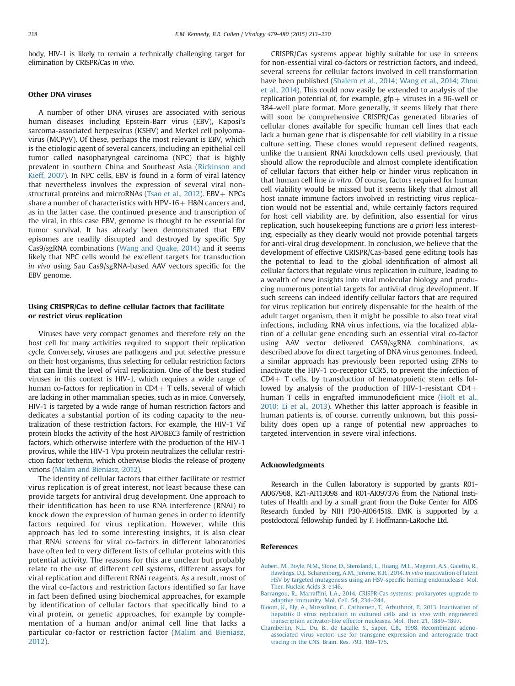<span id="page-5-0"></span>body, HIV-1 is likely to remain a technically challenging target for elimination by CRISPR/Cas in vivo.

#### Other DNA viruses

A number of other DNA viruses are associated with serious human diseases including Epstein-Barr virus (EBV), Kaposi's sarcoma-associated herpesvirus (KSHV) and Merkel cell polyomavirus (MCPyV). Of these, perhaps the most relevant is EBV, which is the etiologic agent of several cancers, including an epithelial cell tumor called nasopharyngeal carcinoma (NPC) that is highly prevalent in southern China and Southeast Asia [\(Rickinson and](#page-6-0) [Kieff, 2007](#page-6-0)). In NPC cells, EBV is found in a form of viral latency that nevertheless involves the expression of several viral non-structural proteins and microRNAs [\(Tsao et al., 2012](#page-6-0)).  $EBV + NPCs$ share a number of characteristics with HPV-16 $+$  H&N cancers and, as in the latter case, the continued presence and transcription of the viral, in this case EBV, genome is thought to be essential for tumor survival. It has already been demonstrated that EBV episomes are readily disrupted and destroyed by specific Spy Cas9/sgRNA combinations [\(Wang and Quake, 2014](#page-6-0)) and it seems likely that NPC cells would be excellent targets for transduction in vivo using Sau Cas9/sgRNA-based AAV vectors specific for the EBV genome.

### Using CRISPR/Cas to define cellular factors that facilitate or restrict virus replication

Viruses have very compact genomes and therefore rely on the host cell for many activities required to support their replication cycle. Conversely, viruses are pathogens and put selective pressure on their host organisms, thus selecting for cellular restriction factors that can limit the level of viral replication. One of the best studied viruses in this context is HIV-1, which requires a wide range of human co-factors for replication in  $CD4+T$  cells, several of which are lacking in other mammalian species, such as in mice. Conversely, HIV-1 is targeted by a wide range of human restriction factors and dedicates a substantial portion of its coding capacity to the neutralization of these restriction factors. For example, the HIV-1 Vif protein blocks the activity of the host APOBEC3 family of restriction factors, which otherwise interfere with the production of the HIV-1 provirus, while the HIV-1 Vpu protein neutralizes the cellular restriction factor tetherin, which otherwise blocks the release of progeny virions [\(Malim and Bieniasz, 2012](#page-6-0)).

The identity of cellular factors that either facilitate or restrict virus replication is of great interest, not least because these can provide targets for antiviral drug development. One approach to their identification has been to use RNA interference (RNAi) to knock down the expression of human genes in order to identify factors required for virus replication. However, while this approach has led to some interesting insights, it is also clear that RNAi screens for viral co-factors in different laboratories have often led to very different lists of cellular proteins with this potential activity. The reasons for this are unclear but probably relate to the use of different cell systems, different assays for viral replication and different RNAi reagents. As a result, most of the viral co-factors and restriction factors identified so far have in fact been defined using biochemical approaches, for example by identification of cellular factors that specifically bind to a viral protein, or genetic approaches, for example by complementation of a human and/or animal cell line that lacks a particular co-factor or restriction factor ([Malim and Bieniasz,](#page-6-0) [2012\)](#page-6-0).

CRISPR/Cas systems appear highly suitable for use in screens for non-essential viral co-factors or restriction factors, and indeed, several screens for cellular factors involved in cell transformation have been published ([Shalem et al., 2014; Wang et al., 2014; Zhou](#page-7-0) [et al., 2014](#page-7-0)). This could now easily be extended to analysis of the replication potential of, for example,  $gfp+$  viruses in a 96-well or 384-well plate format. More generally, it seems likely that there will soon be comprehensive CRISPR/Cas generated libraries of cellular clones available for specific human cell lines that each lack a human gene that is dispensable for cell viability in a tissue culture setting. These clones would represent defined reagents, unlike the transient RNAi knockdown cells used previously, that should allow the reproducible and almost complete identification of cellular factors that either help or hinder virus replication in that human cell line in vitro. Of course, factors required for human cell viability would be missed but it seems likely that almost all host innate immune factors involved in restricting virus replication would not be essential and, while certainly factors required for host cell viability are, by definition, also essential for virus replication, such housekeeping functions are a priori less interesting, especially as they clearly would not provide potential targets for anti-viral drug development. In conclusion, we believe that the development of effective CRISPR/Cas-based gene editing tools has the potential to lead to the global identification of almost all cellular factors that regulate virus replication in culture, leading to a wealth of new insights into viral molecular biology and producing numerous potential targets for antiviral drug development. If such screens can indeed identify cellular factors that are required for virus replication but entirely dispensable for the health of the adult target organism, then it might be possible to also treat viral infections, including RNA virus infections, via the localized ablation of a cellular gene encoding such an essential viral co-factor using AAV vector delivered CAS9/sgRNA combinations, as described above for direct targeting of DNA virus genomes. Indeed, a similar approach has previously been reported using ZFNs to inactivate the HIV-1 co-receptor CCR5, to prevent the infection of  $CD4+$  T cells, by transduction of hematopoietic stem cells followed by analysis of the production of HIV-1-resistant  $CD4$ + human T cells in engrafted immunodeficient mice ([Holt et al.,](#page-6-0) [2010; Li et al., 2013\)](#page-6-0). Whether this latter approach is feasible in human patients is, of course, currently unknown, but this possibility does open up a range of potential new approaches to targeted intervention in severe viral infections.

#### Acknowledgments

Research in the Cullen laboratory is supported by grants R01- AI067968, R21-AI113098 and R01-AI097376 from the National Institutes of Health and by a small grant from the Duke Center for AIDS Research funded by NIH P30-AI064518. EMK is supported by a postdoctoral fellowship funded by F. Hoffmann-LaRoche Ltd.

#### References

- [Aubert, M., Boyle, N.M., Stone, D., Stensland, L., Huang, M.L., Magaret, A.S., Galetto, R.,](http://refhub.elsevier.com/S0042-6822(15)00070-7/sbref1) [Rawlings, D.J., Scharenberg, A.M., Jerome, K.R., 2014.](http://refhub.elsevier.com/S0042-6822(15)00070-7/sbref1) In vitro inactivation of latent [HSV by targeted mutagenesis using an HSV-speci](http://refhub.elsevier.com/S0042-6822(15)00070-7/sbref1)fic homing endonuclease. Mol. [Ther. Nucleic Acids 3, e146.](http://refhub.elsevier.com/S0042-6822(15)00070-7/sbref1)
- Barrangou, R., Marraffi[ni, L.A., 2014. CRISPR-Cas systems: prokaryotes upgrade to](http://refhub.elsevier.com/S0042-6822(15)00070-7/sbref2) [adaptive immunity. Mol. Cell. 54, 234](http://refhub.elsevier.com/S0042-6822(15)00070-7/sbref2)–244.
- [Bloom, K., Ely, A., Mussolino, C., Cathomen, T., Arbuthnot, P., 2013. Inactivation of](http://refhub.elsevier.com/S0042-6822(15)00070-7/sbref3) [hepatitis B virus replication in cultured cells and](http://refhub.elsevier.com/S0042-6822(15)00070-7/sbref3) in vivo with engineered [transcription activator-like effector nucleases. Mol. Ther. 21, 1889](http://refhub.elsevier.com/S0042-6822(15)00070-7/sbref3)–1897.
- [Chamberlin, N.L., Du, B., de Lacalle, S., Saper, C.B., 1998. Recombinant adeno](http://refhub.elsevier.com/S0042-6822(15)00070-7/sbref4)[associated virus vector: use for transgene expression and anterograde tract](http://refhub.elsevier.com/S0042-6822(15)00070-7/sbref4) [tracing in the CNS. Brain. Res. 793, 169](http://refhub.elsevier.com/S0042-6822(15)00070-7/sbref4)–175.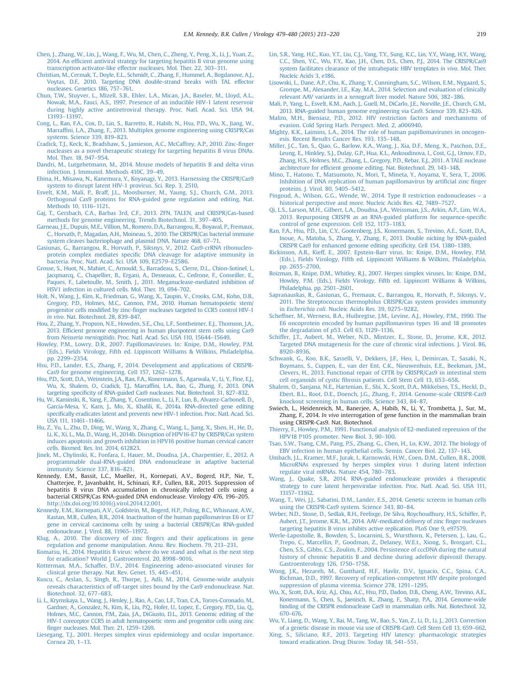- <span id="page-6-0"></span>[Chen, J., Zhang, W., Lin, J., Wang, F., Wu, M., Chen, C., Zheng, Y., Peng, X., Li, J., Yuan, Z.,](http://refhub.elsevier.com/S0042-6822(15)00070-7/sbref5) 2014. An effi[cient antiviral strategy for targeting hepatitis B virus genome using](http://refhub.elsevier.com/S0042-6822(15)00070-7/sbref5) [transcription activator-like effector nucleases. Mol. Ther. 22, 303](http://refhub.elsevier.com/S0042-6822(15)00070-7/sbref5)–311.
- [Christian, M., Cermak, T., Doyle, E.L., Schmidt, C., Zhang, F., Hummel, A., Bogdanove, A.J.,](http://refhub.elsevier.com/S0042-6822(15)00070-7/sbref6) [Voytas, D.F., 2010. Targeting DNA double-strand breaks with TAL effector](http://refhub.elsevier.com/S0042-6822(15)00070-7/sbref6) [nucleases. Genetics 186, 757](http://refhub.elsevier.com/S0042-6822(15)00070-7/sbref6)–761.
- [Chun, T.W., Stuyver, L., Mizell, S.B., Ehler, L.A., Mican, J.A., Baseler, M., Lloyd, A.L.,](http://refhub.elsevier.com/S0042-6822(15)00070-7/sbref7) [Nowak, M.A., Fauci, A.S., 1997. Presence of an inducible HIV-1 latent reservoir](http://refhub.elsevier.com/S0042-6822(15)00070-7/sbref7) [during highly active antiretroviral therapy. Proc. Natl. Acad. Sci. USA 94,](http://refhub.elsevier.com/S0042-6822(15)00070-7/sbref7) 13193–[13197.](http://refhub.elsevier.com/S0042-6822(15)00070-7/sbref7)
- [Cong, L., Ran, F.A., Cox, D., Lin, S., Barretto, R., Habib, N., Hsu, P.D., Wu, X., Jiang, W.,](http://refhub.elsevier.com/S0042-6822(15)00070-7/sbref8) Marraffi[ni, L.A., Zhang, F., 2013. Multiplex genome engineering using CRISPR/Cas](http://refhub.elsevier.com/S0042-6822(15)00070-7/sbref8) [systems. Science 339, 819](http://refhub.elsevier.com/S0042-6822(15)00070-7/sbref8)–823.
- [Cradick, T.J., Keck, K., Bradshaw, S., Jamieson, A.C., McCaffrey, A.P., 2010. Zinc-](http://refhub.elsevier.com/S0042-6822(15)00070-7/sbref9)finger [nucleases as a novel therapeutic strategy for targeting hepatitis B virus DNAs.](http://refhub.elsevier.com/S0042-6822(15)00070-7/sbref9) [Mol. Ther. 18, 947](http://refhub.elsevier.com/S0042-6822(15)00070-7/sbref9)–954.
- [Dandri, M., Lutgehetmann, M., 2014. Mouse models of hepatitis B and delta virus](http://refhub.elsevier.com/S0042-6822(15)00070-7/sbref10) [infection. J. Immunol. Methods 410C, 39](http://refhub.elsevier.com/S0042-6822(15)00070-7/sbref10)–49.
- [Ebina, H., Misawa, N., Kanemura, Y., Koyanagi, Y., 2013. Harnessing the CRISPR/Cas9](http://refhub.elsevier.com/S0042-6822(15)00070-7/sbref11) [system to disrupt latent HIV-1 provirus. Sci. Rep. 3, 2510.](http://refhub.elsevier.com/S0042-6822(15)00070-7/sbref11)
- [Esvelt, K.M., Mali, P., Braff, J.L., Moosburner, M., Yaung, S.J., Church, G.M., 2013.](http://refhub.elsevier.com/S0042-6822(15)00070-7/sbref12) [Orthogonal Cas9 proteins for RNA-guided gene regulation and editing. Nat.](http://refhub.elsevier.com/S0042-6822(15)00070-7/sbref12) [Methods 10, 1116](http://refhub.elsevier.com/S0042-6822(15)00070-7/sbref12)–1121.
- [Gaj, T., Gersbach, C.A., Barbas 3rd, C.F., 2013. ZFN, TALEN, and CRISPR/Cas-based](http://refhub.elsevier.com/S0042-6822(15)00070-7/sbref13) [methods for genome engineering. Trends Biotechnol. 31, 397](http://refhub.elsevier.com/S0042-6822(15)00070-7/sbref13)–405.
- [Garneau, J.E., Dupuis, M.E., Villion, M., Romero, D.A., Barrangou, R., Boyaval, P., Fremaux,](http://refhub.elsevier.com/S0042-6822(15)00070-7/sbref14) [C., Horvath, P., Magadan, A.H., Moineau, S., 2010. The CRISPR/Cas bacterial immune](http://refhub.elsevier.com/S0042-6822(15)00070-7/sbref14) [system cleaves bacteriophage and plasmid DNA. Nature 468, 67](http://refhub.elsevier.com/S0042-6822(15)00070-7/sbref14)–71.
- [Gasiunas, G., Barrangou, R., Horvath, P., Siksnys, V., 2012. Cas9-crRNA ribonucleo-](http://refhub.elsevier.com/S0042-6822(15)00070-7/sbref15)protein complex mediates specifi[c DNA cleavage for adaptive immunity in](http://refhub.elsevier.com/S0042-6822(15)00070-7/sbref15) [bacteria. Proc. Natl. Acad. Sci. USA 109, E2579](http://refhub.elsevier.com/S0042-6822(15)00070-7/sbref15)–E2586.
- [Grosse, S., Huot, N., Mahiet, C., Arnould, S., Barradeau, S., Clerre, D.L., Chion-Sotinel, I.,](http://refhub.elsevier.com/S0042-6822(15)00070-7/sbref16) [Jacqmarcq, C., Chapellier, B., Ergani, A., Desseaux, C., Cedrone, F., Conseiller, E.,](http://refhub.elsevier.com/S0042-6822(15)00070-7/sbref16) [Paques, F., Labetoulle, M., Smith, J., 2011. Meganuclease-mediated inhibition of](http://refhub.elsevier.com/S0042-6822(15)00070-7/sbref16) [HSV1 infection in cultured cells. Mol. Ther. 19, 694](http://refhub.elsevier.com/S0042-6822(15)00070-7/sbref16)–702.
- [Holt, N., Wang, J., Kim, K., Friedman, G., Wang, X., Taupin, V., Crooks, G.M., Kohn, D.B.,](http://refhub.elsevier.com/S0042-6822(15)00070-7/sbref17) [Gregory, P.D., Holmes, M.C., Cannon, P.M., 2010. Human hematopoietic stem/](http://refhub.elsevier.com/S0042-6822(15)00070-7/sbref17) progenitor cells modified by zinc-fi[nger nucleases targeted to CCR5 control HIV-1](http://refhub.elsevier.com/S0042-6822(15)00070-7/sbref17) in vivo[. Nat. Biotechnol. 28, 839](http://refhub.elsevier.com/S0042-6822(15)00070-7/sbref17)–847.
- [Hou, Z., Zhang, Y., Propson, N.E., Howden, S.E., Chu, L.F., Sontheimer, E.J., Thomson, J.A.,](http://refhub.elsevier.com/S0042-6822(15)00070-7/sbref18) 2013. Effi[cient genome engineering in human pluripotent stem cells using Cas9](http://refhub.elsevier.com/S0042-6822(15)00070-7/sbref18) from Neisseria meningitidis[. Proc. Natl. Acad. Sci. USA 110, 15644](http://refhub.elsevier.com/S0042-6822(15)00070-7/sbref18)–15649.
- [Howley, P.M., Lowry, D.R., 2007. Papillomaviruses. In: Knipe, D.M., Howley, P.M.](http://refhub.elsevier.com/S0042-6822(15)00070-7/sbref19) [\(Eds.\), Fields Virology, Fifth ed. Lippincott Williams](http://refhub.elsevier.com/S0042-6822(15)00070-7/sbref19) & [Wilkins, Philadelphia,](http://refhub.elsevier.com/S0042-6822(15)00070-7/sbref19) [pp. 2299](http://refhub.elsevier.com/S0042-6822(15)00070-7/sbref19)–2354.
- [Hsu, P.D., Lander, E.S., Zhang, F., 2014. Development and applications of CRISPR-](http://refhub.elsevier.com/S0042-6822(15)00070-7/sbref20)[Cas9 for genome engineering. Cell 157, 1262](http://refhub.elsevier.com/S0042-6822(15)00070-7/sbref20)–1278.
- [Hsu, P.D., Scott, D.A., Weinstein, J.A., Ran, F.A., Konermann, S., Agarwala, V., Li, Y., Fine, E.J.,](http://refhub.elsevier.com/S0042-6822(15)00070-7/sbref21) [Wu, X., Shalem, O., Cradick, T.J., Marraf](http://refhub.elsevier.com/S0042-6822(15)00070-7/sbref21)fini, L.A., Bao, G., Zhang, F., 2013. DNA targeting specifi[city of RNA-guided Cas9 nucleases. Nat. Biotechnol. 31, 827](http://refhub.elsevier.com/S0042-6822(15)00070-7/sbref21)–832.
- [Hu, W., Kaminski, R., Yang, F., Zhang, Y., Cosentino, L., Li, F., Luo, B., Alvarez-Carbonell, D.,](http://refhub.elsevier.com/S0042-6822(15)00070-7/sbref22) [Garcia-Mesa, Y., Karn, J., Mo, X., Khalili, K., 2014a. RNA-directed gene editing](http://refhub.elsevier.com/S0042-6822(15)00070-7/sbref22) specifi[cally eradicates latent and prevents new HIV-1 infection. Proc. Natl. Acad. Sci.](http://refhub.elsevier.com/S0042-6822(15)00070-7/sbref22) [USA 111, 11461](http://refhub.elsevier.com/S0042-6822(15)00070-7/sbref22)–11466.
- [Hu, Z., Yu, L., Zhu, D., Ding, W., Wang, X., Zhang, C., Wang, L., Jiang, X., Shen, H., He, D.,](http://refhub.elsevier.com/S0042-6822(15)00070-7/sbref23) [Li, K., Xi, L., Ma, D., Wang, H., 2014b. Disruption of HPV16-E7 by CRISPR/Cas system](http://refhub.elsevier.com/S0042-6822(15)00070-7/sbref23) [induces apoptosis and growth inhibition in HPV16 positive human cervical cancer](http://refhub.elsevier.com/S0042-6822(15)00070-7/sbref23) [cells. Biomed. Res. Int. 2014, 612823.](http://refhub.elsevier.com/S0042-6822(15)00070-7/sbref23)
- [Jinek, M., Chylinski, K., Fonfara, I., Hauer, M., Doudna, J.A., Charpentier, E., 2012. A](http://refhub.elsevier.com/S0042-6822(15)00070-7/sbref24) [programmable dual-RNA-guided DNA endonuclease in adaptive bacterial](http://refhub.elsevier.com/S0042-6822(15)00070-7/sbref24) [immunity. Science 337, 816](http://refhub.elsevier.com/S0042-6822(15)00070-7/sbref24)–821.
- Kennedy, E.M., Bassit, L.C., Mueller, H., Kornepati, A.V., Bogerd, H.P., Nie, T., Chatterjee, P., Javanbakht, H., Schinazi, R.F., Cullen, B.R., 2015. Suppression of hepatitis B virus DNA accumulation in chronically infected cells using a bacterial CRISPR/Cas RNA-guided DNA endonuclease. Virology 476, 196–205.
- <http://dx.doi.org/10.1016/j.virol.2014.12.001>. [Kennedy, E.M., Kornepati, A.V., Goldstein, M., Bogerd, H.P., Poling, B.C., Whisnant, A.W.,](http://refhub.elsevier.com/S0042-6822(15)00070-7/sbref26) [Kastan, M.B., Cullen, B.R., 2014. Inactivation of the human papillomavirus E6 or E7](http://refhub.elsevier.com/S0042-6822(15)00070-7/sbref26) [gene in cervical carcinoma cells by using a bacterial CRISPR/Cas RNA-guided](http://refhub.elsevier.com/S0042-6822(15)00070-7/sbref26) [endonuclease. J. Virol. 88, 11965](http://refhub.elsevier.com/S0042-6822(15)00070-7/sbref26)–11972.
- [Klug, A., 2010. The discovery of zinc](http://refhub.elsevier.com/S0042-6822(15)00070-7/sbref27) fingers and their applications in gene [regulation and genome manipulation. Annu. Rev. Biochem. 79, 213](http://refhub.elsevier.com/S0042-6822(15)00070-7/sbref27)–231.
- [Komatsu, H., 2014. Hepatitis B virus: where do we stand and what is the next step](http://refhub.elsevier.com/S0042-6822(15)00070-7/sbref28) [for eradication? World J. Gastroenterol. 20, 8998](http://refhub.elsevier.com/S0042-6822(15)00070-7/sbref28)–9016.
- [Kotterman, M.A., Schaffer, D.V., 2014. Engineering adeno-associated viruses for](http://refhub.elsevier.com/S0042-6822(15)00070-7/sbref29) [clinical gene therapy. Nat. Rev. Genet. 15, 445](http://refhub.elsevier.com/S0042-6822(15)00070-7/sbref29)–451.
- [Kuscu, C., Arslan, S., Singh, R., Thorpe, J., Adli, M., 2014. Genome-wide analysis](http://refhub.elsevier.com/S0042-6822(15)00070-7/sbref30) [reveals characteristics of off-target sites bound by the Cas9 endonuclease. Nat.](http://refhub.elsevier.com/S0042-6822(15)00070-7/sbref30) [Biotechnol. 32, 677](http://refhub.elsevier.com/S0042-6822(15)00070-7/sbref30)–683.
- [Li, L., Krymskaya, L., Wang, J., Henley, J., Rao, A., Cao, L.F., Tran, C.A., Torres-Coronado, M.,](http://refhub.elsevier.com/S0042-6822(15)00070-7/sbref31) [Gardner, A., Gonzalez, N., Kim, K., Liu, P.Q., Hofer, U., Lopez, E., Gregory, P.D., Liu, Q.,](http://refhub.elsevier.com/S0042-6822(15)00070-7/sbref31) [Holmes, M.C., Cannon, P.M., Zaia, J.A., DiGiusto, D.L., 2013. Genomic editing of the](http://refhub.elsevier.com/S0042-6822(15)00070-7/sbref31) [HIV-1 coreceptor CCR5 in adult hematopoietic stem and progenitor cells using zinc](http://refhub.elsevier.com/S0042-6822(15)00070-7/sbref31) fi[nger nucleases. Mol. Ther. 21, 1259](http://refhub.elsevier.com/S0042-6822(15)00070-7/sbref31)–1269.
- [Liesegang, T.J., 2001. Herpes simplex virus epidemiology and ocular importance.](http://refhub.elsevier.com/S0042-6822(15)00070-7/sbref32) [Cornea 20, 1](http://refhub.elsevier.com/S0042-6822(15)00070-7/sbref32)–13.
- [Lin, S.R., Yang, H.C., Kuo, Y.T., Liu, C.J., Yang, T.Y., Sung, K.C., Lin, Y.Y., Wang, H.Y., Wang,](http://refhub.elsevier.com/S0042-6822(15)00070-7/sbref33) [C.C., Shen, Y.C., Wu, F.Y., Kao, J.H., Chen, D.S., Chen, P.J., 2014. The CRISPR/Cas9](http://refhub.elsevier.com/S0042-6822(15)00070-7/sbref33) [system facilitates clearance of the intrahepatic HBV templates](http://refhub.elsevier.com/S0042-6822(15)00070-7/sbref33) in vivo. Mol. Ther. [Nucleic Acids 3, e186.](http://refhub.elsevier.com/S0042-6822(15)00070-7/sbref33)
- [Lisowski, L., Dane, A.P., Chu, K., Zhang, Y., Cunningham, S.C., Wilson, E.M., Nygaard, S.,](http://refhub.elsevier.com/S0042-6822(15)00070-7/sbref34) [Grompe, M., Alexander, I.E., Kay, M.A., 2014. Selection and evaluation of clinically](http://refhub.elsevier.com/S0042-6822(15)00070-7/sbref34) [relevant AAV variants in a xenograft liver model. Nature 506, 382](http://refhub.elsevier.com/S0042-6822(15)00070-7/sbref34)–386.
- [Mali, P., Yang, L., Esvelt, K.M., Aach, J., Guell, M., DiCarlo, J.E., Norville, J.E., Church, G.M.,](http://refhub.elsevier.com/S0042-6822(15)00070-7/sbref35) [2013. RNA-guided human genome engineering via Cas9. Science 339, 823](http://refhub.elsevier.com/S0042-6822(15)00070-7/sbref35)–826.
- [Malim, M.H., Bieniasz, P.D., 2012. HIV restriction factors and mechanisms of](http://refhub.elsevier.com/S0042-6822(15)00070-7/sbref36) [evasion. Cold Spring Harb. Perspect. Med. 2, a006940.](http://refhub.elsevier.com/S0042-6822(15)00070-7/sbref36)
- [Mighty, K.K., Laimins, L.A., 2014. The role of human papillomaviruses in oncogen](http://refhub.elsevier.com/S0042-6822(15)00070-7/sbref37)[esis. Recent Results Cancer Res. 193, 135](http://refhub.elsevier.com/S0042-6822(15)00070-7/sbref37)–148.
- [Miller, J.C., Tan, S., Qiao, G., Barlow, K.A., Wang, J., Xia, D.F., Meng, X., Paschon, D.E.,](http://refhub.elsevier.com/S0042-6822(15)00070-7/sbref38) [Leung, E., Hinkley, S.J., Dulay, G.P., Hua, K.L., Ankoudinova, I., Cost, G.J., Urnov, F.D.,](http://refhub.elsevier.com/S0042-6822(15)00070-7/sbref38) [Zhang, H.S., Holmes, M.C., Zhang, L., Gregory, P.D., Rebar, E.J., 2011. A TALE nuclease](http://refhub.elsevier.com/S0042-6822(15)00070-7/sbref38) architecture for effi[cient genome editing. Nat. Biotechnol. 29, 143](http://refhub.elsevier.com/S0042-6822(15)00070-7/sbref38)–148.
- [Mino, T., Hatono, T., Matsumoto, N., Mori, T., Mineta, Y., Aoyama, Y., Sera, T., 2006.](http://refhub.elsevier.com/S0042-6822(15)00070-7/sbref39) [Inhibition of DNA replication of human papillomavirus by arti](http://refhub.elsevier.com/S0042-6822(15)00070-7/sbref39)ficial zinc finger [proteins. J. Virol. 80, 5405](http://refhub.elsevier.com/S0042-6822(15)00070-7/sbref39)–5412.
- [Pingoud, A., Wilson, G.G., Wende, W., 2014. Type II restriction endonucleases](http://refhub.elsevier.com/S0042-6822(15)00070-7/sbref40) a [historical perspective and more. Nucleic Acids Res. 42, 7489](http://refhub.elsevier.com/S0042-6822(15)00070-7/sbref40)–7527.
- L.S., Larson, M.H., Gilbert, L.A., Doudna, J.A., Weissman, J.S., Arkin, A.P., Lim, W.A., [2013. Repurposing CRISPR as an RNA-guided platform for sequence-speci](http://refhub.elsevier.com/S0042-6822(15)00070-7/sbref41)fic [control of gene expression. Cell 152, 1173](http://refhub.elsevier.com/S0042-6822(15)00070-7/sbref41)–1183.
- [Ran, F.A., Hsu, P.D., Lin, C.Y., Gootenberg, J.S., Konermann, S., Trevino, A.E., Scott, D.A.,](http://refhub.elsevier.com/S0042-6822(15)00070-7/sbref42) [Inoue, A., Matoba, S., Zhang, Y., Zhang, F., 2013. Double nicking by RNA-guided](http://refhub.elsevier.com/S0042-6822(15)00070-7/sbref42) [CRISPR Cas9 for enhanced genome editing speci](http://refhub.elsevier.com/S0042-6822(15)00070-7/sbref42)ficity. Cell 154, 1380–1389.
- [Rickinson, A.B., Kieff, E., 2007. Epstein-Barr virus. In: Knipe, D.M., Howley, P.M.](http://refhub.elsevier.com/S0042-6822(15)00070-7/sbref43) [\(Eds.\), Fields Virology, Fifth ed. Lippincott Williams](http://refhub.elsevier.com/S0042-6822(15)00070-7/sbref43) & [Wilkins, Philadelphia,](http://refhub.elsevier.com/S0042-6822(15)00070-7/sbref43) [pp. 2655](http://refhub.elsevier.com/S0042-6822(15)00070-7/sbref43)–2700.
- [Roizman, B., Knipe, D.M., Whitley, R.J., 2007. Herpes simplex viruses. In: Knipe, D.M.,](http://refhub.elsevier.com/S0042-6822(15)00070-7/sbref44) [Howley, P.M. \(Eds.\), Fields Virology, Fifth ed. Lippincott Williams](http://refhub.elsevier.com/S0042-6822(15)00070-7/sbref44) & [Wilkins,](http://refhub.elsevier.com/S0042-6822(15)00070-7/sbref44) [Philadelphia, pp. 2501](http://refhub.elsevier.com/S0042-6822(15)00070-7/sbref44)–2601.
- [Sapranauskas, R., Gasiunas, G., Fremaux, C., Barrangou, R., Horvath, P., Siksnys, V.,](http://refhub.elsevier.com/S0042-6822(15)00070-7/sbref45) [2011. The Streptococcus thermophilus CRISPR/Cas system provides immunity](http://refhub.elsevier.com/S0042-6822(15)00070-7/sbref45) in Escherichia coli[. Nucleic Acids Res. 39, 9275](http://refhub.elsevier.com/S0042-6822(15)00070-7/sbref45)–9282.
- [Scheffner, M., Werness, B.A., Huibregtse, J.M., Levine, A.J., Howley, P.M., 1990. The](http://refhub.elsevier.com/S0042-6822(15)00070-7/sbref46) [E6 oncoprotein encoded by human papillomavirus types 16 and 18 promotes](http://refhub.elsevier.com/S0042-6822(15)00070-7/sbref46) [the degradation of p53. Cell 63, 1129](http://refhub.elsevier.com/S0042-6822(15)00070-7/sbref46)–1136.
- [Schiffer, J.T., Aubert, M., Weber, N.D., Mintzer, E., Stone, D., Jerome, K.R., 2012.](http://refhub.elsevier.com/S0042-6822(15)00070-7/sbref47) [Targeted DNA mutagenesis for the cure of chronic viral infections. J. Virol. 86,](http://refhub.elsevier.com/S0042-6822(15)00070-7/sbref47) 8920–[8936.](http://refhub.elsevier.com/S0042-6822(15)00070-7/sbref47)
- [Schwank, G., Koo, B.K., Sasselli, V., Dekkers, J.F., Heo, I., Demircan, T., Sasaki, N.,](http://refhub.elsevier.com/S0042-6822(15)00070-7/sbref48) [Boymans, S., Cuppen, E., van der Ent, C.K., Nieuwenhuis, E.E., Beekman, J.M.,](http://refhub.elsevier.com/S0042-6822(15)00070-7/sbref48) [Clevers, H., 2013. Functional repair of CFTR by CRISPR/Cas9 in intestinal stem](http://refhub.elsevier.com/S0042-6822(15)00070-7/sbref48) cell organoids of cystic fi[brosis patients. Cell Stem Cell 13, 653](http://refhub.elsevier.com/S0042-6822(15)00070-7/sbref48)–658.
- [Shalem, O., Sanjana, N.E., Hartenian, E., Shi, X., Scott, D.A., Mikkelsen, T.S., Heckl, D.,](http://refhub.elsevier.com/S0042-6822(15)00070-7/sbref49) [Ebert, B.L., Root, D.E., Doench, J.G., Zhang, F., 2014. Genome-scale CRISPR-Cas9](http://refhub.elsevier.com/S0042-6822(15)00070-7/sbref49) [knockout screening in human cells. Science 343, 84](http://refhub.elsevier.com/S0042-6822(15)00070-7/sbref49)–87.
- Swiech, L., Heidenreich, M., Banerjee, A., Habib, N., Li, Y., Trombetta, J., Sur, M., Zhang, F., 2014. In vivo interrogation of gene function in the mammalian brain using CRISPR-Cas9. Nat. Biotechnol.
- [Thierry, F., Howley, P.M., 1991. Functional analysis of E2-mediated repression of the](http://refhub.elsevier.com/S0042-6822(15)00070-7/sbref50) [HPV18 P105 promoter. New Biol. 3, 90](http://refhub.elsevier.com/S0042-6822(15)00070-7/sbref50)–100.
- [Tsao, S.W., Tsang, C.M., Pang, P.S., Zhang, G., Chen, H., Lo, K.W., 2012. The biology of](http://refhub.elsevier.com/S0042-6822(15)00070-7/sbref51) [EBV infection in human epithelial cells. Semin. Cancer Biol. 22, 137](http://refhub.elsevier.com/S0042-6822(15)00070-7/sbref51)–143.
- [Umbach, J.L., Kramer, M.F., Jurak, I., Karnowski, H.W., Coen, D.M., Cullen, B.R., 2008.](http://refhub.elsevier.com/S0042-6822(15)00070-7/sbref52) [MicroRNAs expressed by herpes simplex virus 1 during latent infection](http://refhub.elsevier.com/S0042-6822(15)00070-7/sbref52) [regulate viral mRNAs. Nature 454, 780](http://refhub.elsevier.com/S0042-6822(15)00070-7/sbref52)–783.
- [Wang, J., Quake, S.R., 2014. RNA-guided endonuclease provides a therapeutic](http://refhub.elsevier.com/S0042-6822(15)00070-7/sbref53) [strategy to cure latent herpesviridae infection. Proc. Natl. Acad. Sci. USA 111,](http://refhub.elsevier.com/S0042-6822(15)00070-7/sbref53) 13157–[13162.](http://refhub.elsevier.com/S0042-6822(15)00070-7/sbref53)
- [Wang, T., Wei, J.J., Sabatini, D.M., Lander, E.S., 2014. Genetic screens in human cells](http://refhub.elsevier.com/S0042-6822(15)00070-7/sbref54) [using the CRISPR-Cas9 system. Science 343, 80](http://refhub.elsevier.com/S0042-6822(15)00070-7/sbref54)–84.
- [Weber, N.D., Stone, D., Sedlak, R.H., Feelixge, De Silva, Roychoudhury, H.S., Schiffer, P.,](http://refhub.elsevier.com/S0042-6822(15)00070-7/sbref55) [Aubert, J.T., Jerome, K.R., M., 2014. AAV-mediated delivery of zinc](http://refhub.elsevier.com/S0042-6822(15)00070-7/sbref55) finger nucleases [targeting hepatitis B virus inhibits active replication. PLoS One 9, e97579.](http://refhub.elsevier.com/S0042-6822(15)00070-7/sbref55)
- [Werle-Lapostolle, B., Bowden, S., Locarnini, S., Wursthorn, K., Petersen, J., Lau, G.,](http://refhub.elsevier.com/S0042-6822(15)00070-7/sbref56) [Trepo, C., Marcellin, P., Goodman, Z., Delaney, W.E.t., Xiong, S., Brosgart, C.L.,](http://refhub.elsevier.com/S0042-6822(15)00070-7/sbref56) [Chen, S.S., Gibbs, C.S., Zoulim, F., 2004. Persistence of cccDNA during the natural](http://refhub.elsevier.com/S0042-6822(15)00070-7/sbref56) [history of chronic hepatitis B and decline during adefovir dipivoxil therapy.](http://refhub.elsevier.com/S0042-6822(15)00070-7/sbref56) [Gastroenterology 126, 1750](http://refhub.elsevier.com/S0042-6822(15)00070-7/sbref56)–1758.
- [Wong, J.K., Hezareh, M., Gunthard, H.F., Havlir, D.V., Ignacio, C.C., Spina, C.A.,](http://refhub.elsevier.com/S0042-6822(15)00070-7/sbref57) [Richman, D.D., 1997. Recovery of replication-competent HIV despite prolonged](http://refhub.elsevier.com/S0042-6822(15)00070-7/sbref57) [suppression of plasma viremia. Science 278, 1291](http://refhub.elsevier.com/S0042-6822(15)00070-7/sbref57)–1295.
- [Wu, X., Scott, D.A., Kriz, A.J., Chiu, A.C., Hsu, P.D., Dadon, D.B., Cheng, A.W., Trevino, A.E.,](http://refhub.elsevier.com/S0042-6822(15)00070-7/sbref58) [Konermann, S., Chen, S., Jaenisch, R., Zhang, F., Sharp, P.A., 2014. Genome-wide](http://refhub.elsevier.com/S0042-6822(15)00070-7/sbref58) [binding of the CRISPR endonuclease Cas9 in mammalian cells. Nat. Biotechnol. 32,](http://refhub.elsevier.com/S0042-6822(15)00070-7/sbref58) 670–[676.](http://refhub.elsevier.com/S0042-6822(15)00070-7/sbref58)
- [Wu, Y., Liang, D., Wang, Y., Bai, M., Tang, W., Bao, S., Yan, Z., Li, D., Li, J., 2013. Correction](http://refhub.elsevier.com/S0042-6822(15)00070-7/sbref59) [of a genetic disease in mouse via use of CRISPR-Cas9. Cell Stem Cell 13, 659](http://refhub.elsevier.com/S0042-6822(15)00070-7/sbref59)–662.
- [Xing, S., Siliciano, R.F., 2013. Targeting HIV latency: pharmacologic strategies](http://refhub.elsevier.com/S0042-6822(15)00070-7/sbref60) [toward eradication. Drug Discov. Today 18, 541](http://refhub.elsevier.com/S0042-6822(15)00070-7/sbref60)–551.